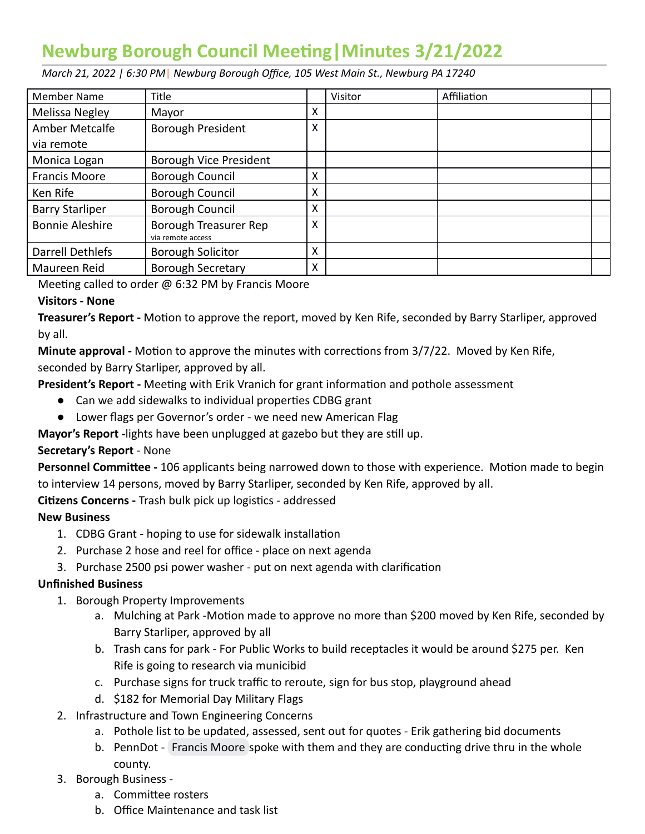# **Newburg Borough Council Meeng|Minutes 3/21/2022**

 *March 21, 2022 | 6:30 PM* | *Newburg Borough Office, 105 West Main St., Newburg PA 17240* 

| <b>Member Name</b>     | Title                                      |   | Visitor | Affiliation |  |
|------------------------|--------------------------------------------|---|---------|-------------|--|
| Melissa Negley         | Mayor                                      | X |         |             |  |
| Amber Metcalfe         | Borough President                          | X |         |             |  |
| via remote             |                                            |   |         |             |  |
| Monica Logan           | Borough Vice President                     |   |         |             |  |
| <b>Francis Moore</b>   | Borough Council                            | x |         |             |  |
| Ken Rife               | Borough Council                            | X |         |             |  |
| <b>Barry Starliper</b> | Borough Council                            | x |         |             |  |
| <b>Bonnie Aleshire</b> | Borough Treasurer Rep<br>via remote access | Χ |         |             |  |
| Darrell Dethlefs       | <b>Borough Solicitor</b>                   | X |         |             |  |
| Maureen Reid           | <b>Borough Secretary</b>                   | Χ |         |             |  |

Meeting called to order  $@$  6:32 PM by Francis Moore

## **Visitors - None**

**Treasurer's Report -** Motion to approve the report, moved by Ken Rife, seconded by Barry Starliper, approved by all.

**Minute approval** - Motion to approve the minutes with corrections from 3/7/22. Moved by Ken Rife, seconded by Barry Starliper, approved by all.

**President's Report -** Meeting with Erik Vranich for grant information and pothole assessment

- Can we add sidewalks to individual properties CDBG grant
- Lower flags per Governor's order we need new American Flag

Mayor's Report - lights have been unplugged at gazebo but they are still up.

## **Secretary's Report** - None

**Personnel Committee** - 106 applicants being narrowed down to those with experience. Motion made to begin to interview 14 persons, moved by Barry Starliper, seconded by Ken Rife, approved by all.

**Citizens Concerns - Trash bulk pick up logistics - addressed** 

## **New Business**

- 1. CDBG Grant hoping to use for sidewalk installation
- 2. Purchase 2 hose and reel for office place on next agenda
- 3. Purchase 2500 psi power washer put on next agenda with clarification

#### **Unfinished Business**

- 1. Borough Property Improvements
	- a. Mulching at Park -Motion made to approve no more than \$200 moved by Ken Rife, seconded by Barry Starliper, approved by all
	- b. Trash cans for park For Public Works to build receptacles it would be around \$275 per. Ken Rife is going to research via municibid
	- c. Purchase signs for truck traffic to reroute, sign for bus stop, playground ahead
	- d. \$182 for Memorial Day Military Flags
- 2. Infrastructure and Town Engineering Concerns
	- a. Pothole list to be updated, assessed, sent out for quotes Erik gathering bid documents
	- b.PennDot [Francis Moore](mailto:augu242001@gmail.com) spoke with them and they are conducting drive thru in the whole county.

## 3. Borough Business -

- a. Committee rosters
- b. Office Maintenance and task list